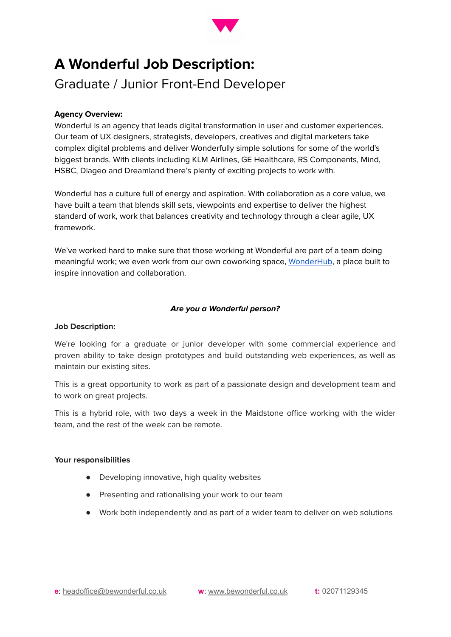

# **A Wonderful Job Description:**

Graduate / Junior Front-End Developer

# **Agency Overview:**

Wonderful is an agency that leads digital transformation in user and customer experiences. Our team of UX designers, strategists, developers, creatives and digital marketers take complex digital problems and deliver Wonderfully simple solutions for some of the world's biggest brands. With clients including KLM Airlines, GE Healthcare, RS Components, Mind, HSBC, Diageo and Dreamland there's plenty of exciting projects to work with.

Wonderful has a culture full of energy and aspiration. With collaboration as a core value, we have built a team that blends skill sets, viewpoints and expertise to deliver the highest standard of work, work that balances creativity and technology through a clear agile, UX framework.

We've worked hard to make sure that those working at Wonderful are part of a team doing meaningful work; we even work from our own coworking space, [WonderHub](https://wonderhub.space/), a place built to inspire innovation and collaboration.

# **Are you a Wonderful person?**

## **Job Description:**

We're looking for a graduate or junior developer with some commercial experience and proven ability to take design prototypes and build outstanding web experiences, as well as maintain our existing sites.

This is a great opportunity to work as part of a passionate design and development team and to work on great projects.

This is a hybrid role, with two days a week in the Maidstone office working with the wider team, and the rest of the week can be remote.

## **Your responsibilities**

- Developing innovative, high quality websites
- Presenting and rationalising your work to our team
- Work both independently and as part of a wider team to deliver on web solutions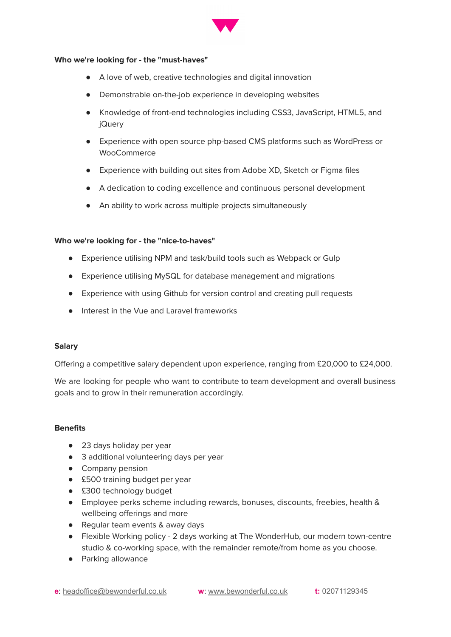

#### **Who we're looking for - the "must-haves"**

- A love of web, creative technologies and digital innovation
- Demonstrable on-the-job experience in developing websites
- Knowledge of front-end technologies including CSS3, JavaScript, HTML5, and jQuery
- Experience with open source php-based CMS platforms such as WordPress or **WooCommerce**
- Experience with building out sites from Adobe XD, Sketch or Figma files
- A dedication to coding excellence and continuous personal development
- An ability to work across multiple projects simultaneously

## **Who we're looking for - the "nice-to-haves"**

- Experience utilising NPM and task/build tools such as Webpack or Gulp
- Experience utilising MySQL for database management and migrations
- Experience with using Github for version control and creating pull requests
- Interest in the Vue and Laravel frameworks

## **Salary**

Offering a competitive salary dependent upon experience, ranging from £20,000 to £24,000.

We are looking for people who want to contribute to team development and overall business goals and to grow in their remuneration accordingly.

# **Benefits**

- 23 days holiday per year
- 3 additional volunteering days per year
- Company pension
- £500 training budget per year
- £300 technology budget
- Employee perks scheme including rewards, bonuses, discounts, freebies, health & wellbeing offerings and more
- Regular team events & away days
- Flexible Working policy 2 days working at The WonderHub, our modern town-centre studio & co-working space, with the remainder remote/from home as you choose.
- Parking allowance